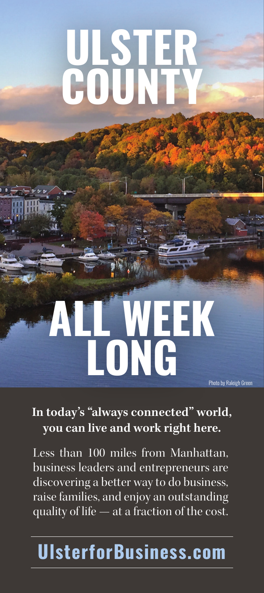# **ULSTER COUNTY**

## **ALL WEEK LONG** Photo by Raleigh Green

#### **In today's "always connected" world, you can live and work right here.**

Less than 100 miles from Manhattan, business leaders and entrepreneurs are discovering a better way to do business, raise families, and enjoy an outstanding quality of life — at a fraction of the cost.

### **UlsterforBusiness.com**